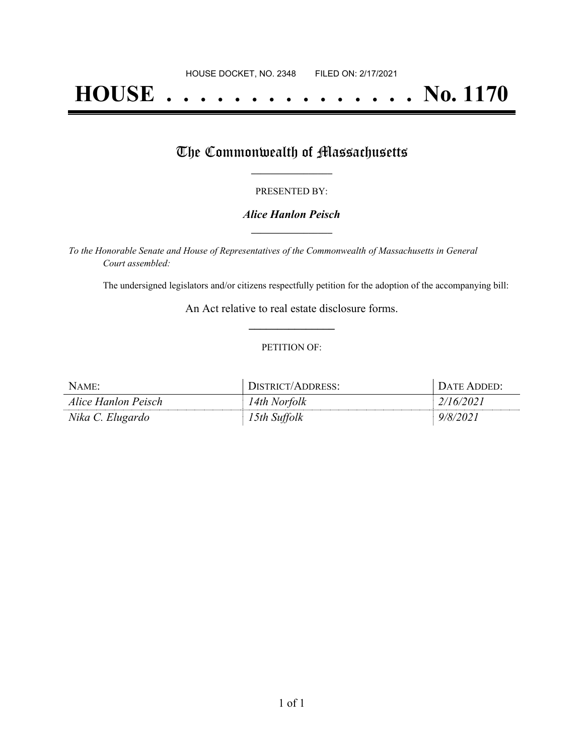# **HOUSE . . . . . . . . . . . . . . . No. 1170**

## The Commonwealth of Massachusetts

#### PRESENTED BY:

#### *Alice Hanlon Peisch* **\_\_\_\_\_\_\_\_\_\_\_\_\_\_\_\_\_**

*To the Honorable Senate and House of Representatives of the Commonwealth of Massachusetts in General Court assembled:*

The undersigned legislators and/or citizens respectfully petition for the adoption of the accompanying bill:

An Act relative to real estate disclosure forms. **\_\_\_\_\_\_\_\_\_\_\_\_\_\_\_**

#### PETITION OF:

| NAME:               | DISTRICT/ADDRESS: | DATE ADDED: |
|---------------------|-------------------|-------------|
| Alice Hanlon Peisch | 14th Norfolk      | 2/16/2021   |
| Nika C. Elugardo    | 15th Suffolk      | 9/8/2021    |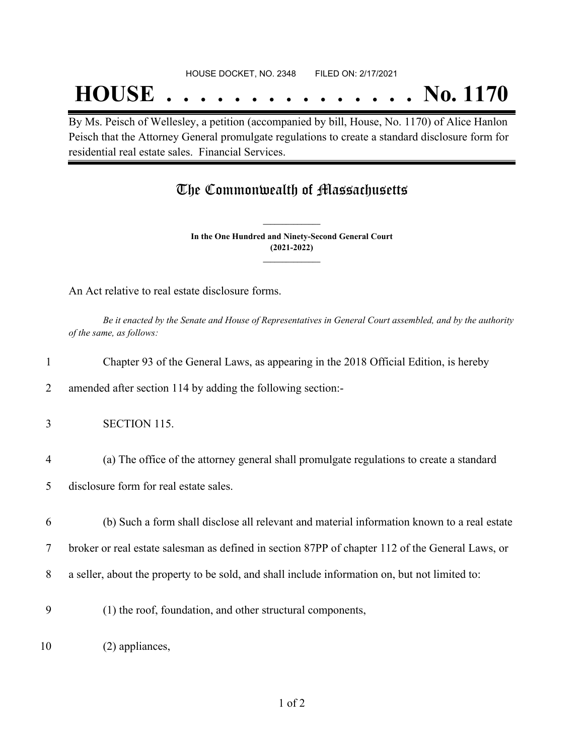## **HOUSE . . . . . . . . . . . . . . . No. 1170**

By Ms. Peisch of Wellesley, a petition (accompanied by bill, House, No. 1170) of Alice Hanlon Peisch that the Attorney General promulgate regulations to create a standard disclosure form for residential real estate sales. Financial Services.

### The Commonwealth of Massachusetts

**In the One Hundred and Ninety-Second General Court (2021-2022) \_\_\_\_\_\_\_\_\_\_\_\_\_\_\_**

**\_\_\_\_\_\_\_\_\_\_\_\_\_\_\_**

An Act relative to real estate disclosure forms.

Be it enacted by the Senate and House of Representatives in General Court assembled, and by the authority *of the same, as follows:*

|                | Chapter 93 of the General Laws, as appearing in the 2018 Official Edition, is hereby             |
|----------------|--------------------------------------------------------------------------------------------------|
| 2              | amended after section 114 by adding the following section:-                                      |
| 3              | <b>SECTION 115.</b>                                                                              |
| $\overline{4}$ | (a) The office of the attorney general shall promulgate regulations to create a standard         |
| 5              | disclosure form for real estate sales.                                                           |
| 6              | (b) Such a form shall disclose all relevant and material information known to a real estate      |
| 7              | broker or real estate salesman as defined in section 87PP of chapter 112 of the General Laws, or |
| 8              | a seller, about the property to be sold, and shall include information on, but not limited to:   |
| 9              | (1) the roof, foundation, and other structural components,                                       |
| 10             | (2) appliances,                                                                                  |